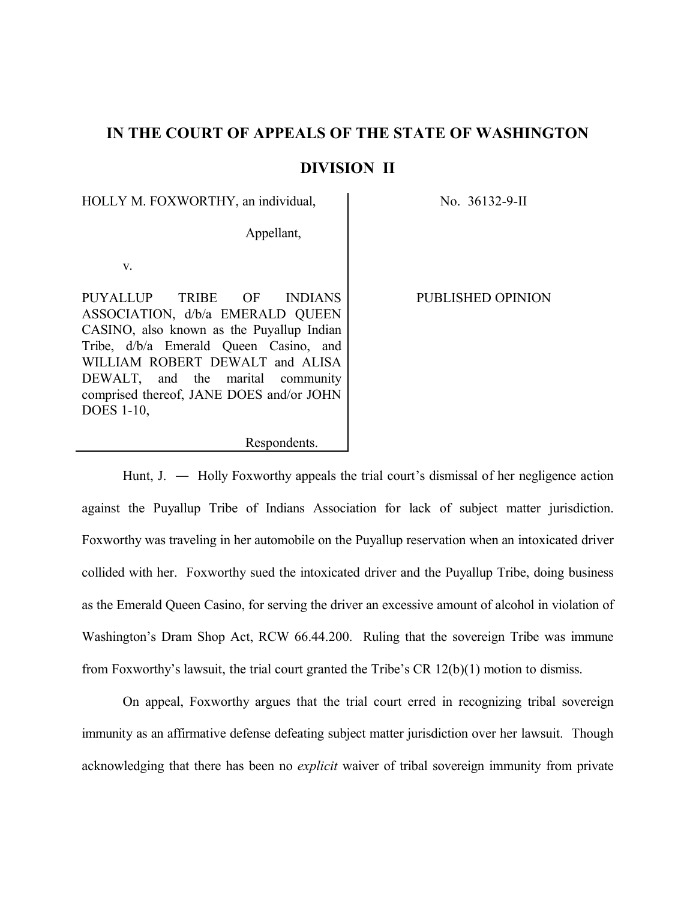# **IN THE COURT OF APPEALS OF THE STATE OF WASHINGTON**

# **DIVISION II**

HOLLY M. FOXWORTHY, an individual,  $\overline{N}$  No. 36132-9-II

Appellant,

v.

PUYALLUP TRIBE OF INDIANS ASSOCIATION, d/b/a EMERALD QUEEN CASINO, also known as the Puyallup Indian Tribe, d/b/a Emerald Queen Casino, and WILLIAM ROBERT DEWALT and ALISA DEWALT, and the marital community comprised thereof, JANE DOES and/or JOHN DOES 1-10,

PUBLISHED OPINION

Respondents.

Hunt, J. ― Holly Foxworthy appeals the trial court's dismissal of her negligence action against the Puyallup Tribe of Indians Association for lack of subject matter jurisdiction. Foxworthy was traveling in her automobile on the Puyallup reservation when an intoxicated driver collided with her. Foxworthy sued the intoxicated driver and the Puyallup Tribe, doing business as the Emerald Queen Casino, for serving the driver an excessive amount of alcohol in violation of Washington's Dram Shop Act, RCW 66.44.200. Ruling that the sovereign Tribe was immune from Foxworthy's lawsuit, the trial court granted the Tribe's CR 12(b)(1) motion to dismiss.

On appeal, Foxworthy argues that the trial court erred in recognizing tribal sovereign immunity as an affirmative defense defeating subject matter jurisdiction over her lawsuit. Though acknowledging that there has been no *explicit* waiver of tribal sovereign immunity from private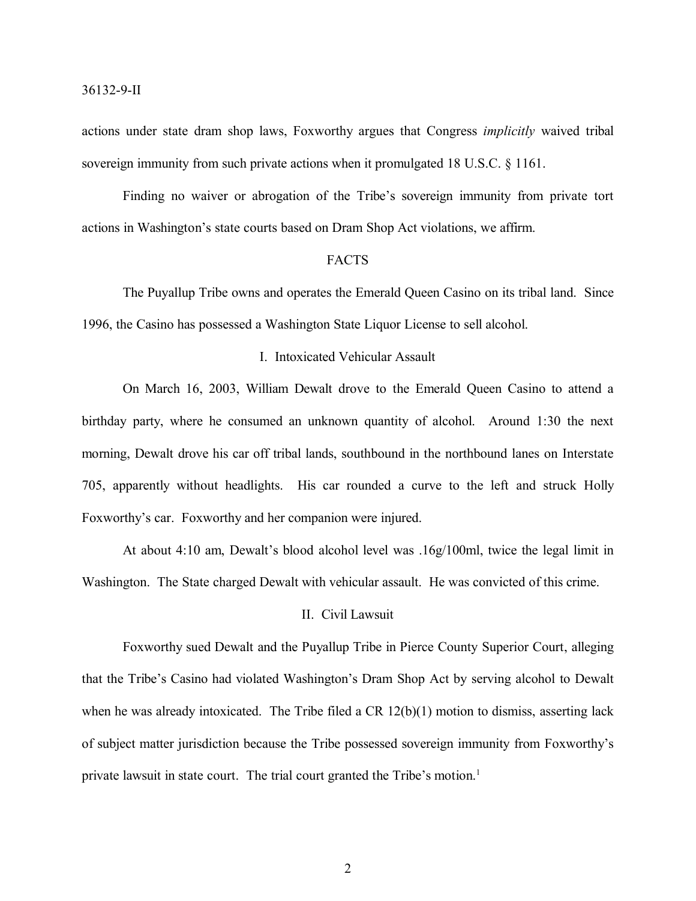actions under state dram shop laws, Foxworthy argues that Congress *implicitly* waived tribal sovereign immunity from such private actions when it promulgated 18 U.S.C. § 1161.

Finding no waiver or abrogation of the Tribe's sovereign immunity from private tort actions in Washington's state courts based on Dram Shop Act violations, we affirm.

#### FACTS

The Puyallup Tribe owns and operates the Emerald Queen Casino on its tribal land. Since 1996, the Casino has possessed a Washington State Liquor License to sell alcohol.

# I. Intoxicated Vehicular Assault

On March 16, 2003, William Dewalt drove to the Emerald Queen Casino to attend a birthday party, where he consumed an unknown quantity of alcohol. Around 1:30 the next morning, Dewalt drove his car off tribal lands, southbound in the northbound lanes on Interstate 705, apparently without headlights. His car rounded a curve to the left and struck Holly Foxworthy's car. Foxworthy and her companion were injured.

At about 4:10 am, Dewalt's blood alcohol level was .16g/100ml, twice the legal limit in Washington. The State charged Dewalt with vehicular assault. He was convicted of this crime.

# II. Civil Lawsuit

Foxworthy sued Dewalt and the Puyallup Tribe in Pierce County Superior Court, alleging that the Tribe's Casino had violated Washington's Dram Shop Act by serving alcohol to Dewalt when he was already intoxicated. The Tribe filed a CR  $12(b)(1)$  motion to dismiss, asserting lack of subject matter jurisdiction because the Tribe possessed sovereign immunity from Foxworthy's private lawsuit in state court. The trial court granted the Tribe's motion. 1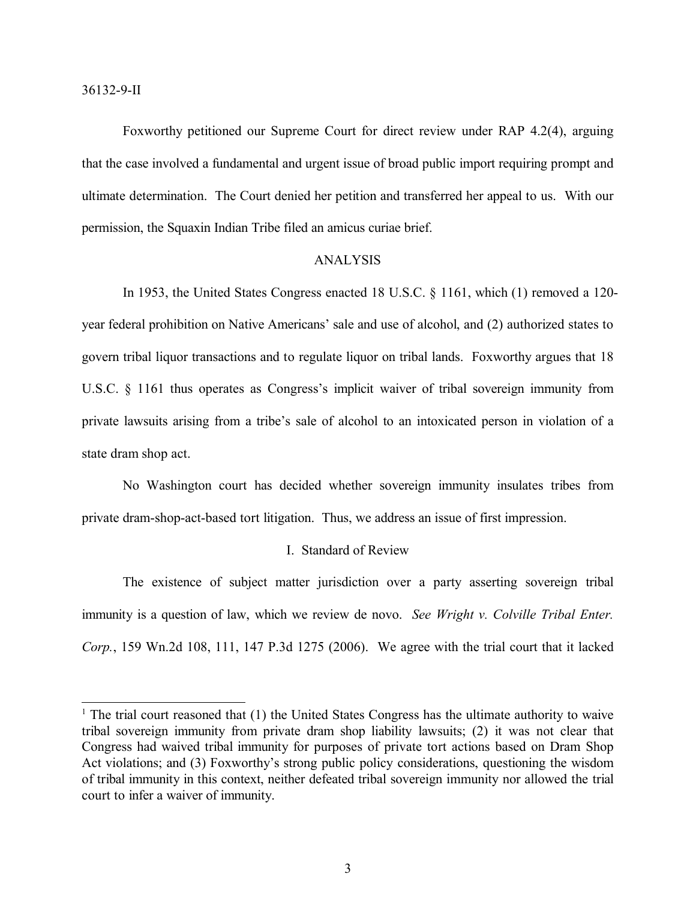36132-9-II

Foxworthy petitioned our Supreme Court for direct review under RAP 4.2(4), arguing that the case involved a fundamental and urgent issue of broad public import requiring prompt and ultimate determination. The Court denied her petition and transferred her appeal to us. With our permission, the Squaxin Indian Tribe filed an amicus curiae brief.

#### ANALYSIS

In 1953, the United States Congress enacted 18 U.S.C. § 1161, which (1) removed a 120 year federal prohibition on Native Americans' sale and use of alcohol, and (2) authorized states to govern tribal liquor transactions and to regulate liquor on tribal lands. Foxworthy argues that 18 U.S.C. § 1161 thus operates as Congress's implicit waiver of tribal sovereign immunity from private lawsuits arising from a tribe's sale of alcohol to an intoxicated person in violation of a state dram shop act.

No Washington court has decided whether sovereign immunity insulates tribes from private dram-shop-act-based tort litigation. Thus, we address an issue of first impression.

#### I. Standard of Review

The existence of subject matter jurisdiction over a party asserting sovereign tribal immunity is a question of law, which we review de novo. *See Wright v. Colville Tribal Enter. Corp.*, 159 Wn.2d 108, 111, 147 P.3d 1275 (2006). We agree with the trial court that it lacked

<sup>&</sup>lt;sup>1</sup> The trial court reasoned that  $(1)$  the United States Congress has the ultimate authority to waive tribal sovereign immunity from private dram shop liability lawsuits; (2) it was not clear that Congress had waived tribal immunity for purposes of private tort actions based on Dram Shop Act violations; and (3) Foxworthy's strong public policy considerations, questioning the wisdom of tribal immunity in this context, neither defeated tribal sovereign immunity nor allowed the trial court to infer a waiver of immunity.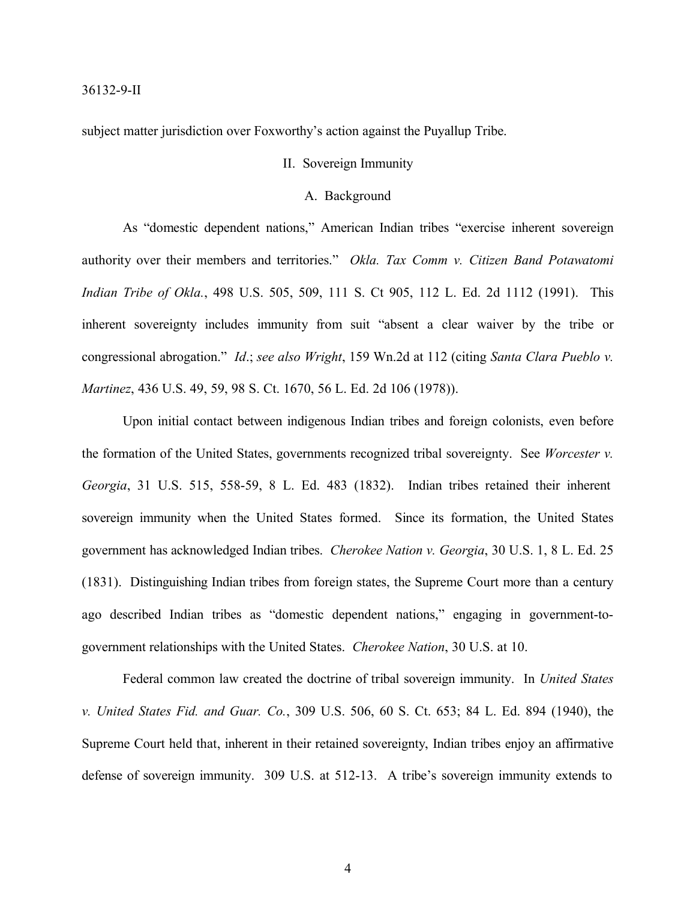subject matter jurisdiction over Foxworthy's action against the Puyallup Tribe.

# II. Sovereign Immunity

### A. Background

As "domestic dependent nations," American Indian tribes "exercise inherent sovereign authority over their members and territories." *Okla. Tax Comm v. Citizen Band Potawatomi Indian Tribe of Okla.*, 498 U.S. 505, 509, 111 S. Ct 905, 112 L. Ed. 2d 1112 (1991). This inherent sovereignty includes immunity from suit "absent a clear waiver by the tribe or congressional abrogation." *Id*.; *see also Wright*, 159 Wn.2d at 112 (citing *Santa Clara Pueblo v. Martinez*, 436 U.S. 49, 59, 98 S. Ct. 1670, 56 L. Ed. 2d 106 (1978)).

Upon initial contact between indigenous Indian tribes and foreign colonists, even before the formation of the United States, governments recognized tribal sovereignty. See *Worcester v. Georgia*, 31 U.S. 515, 558-59, 8 L. Ed. 483 (1832). Indian tribes retained their inherent sovereign immunity when the United States formed. Since its formation, the United States government has acknowledged Indian tribes. *Cherokee Nation v. Georgia*, 30 U.S. 1, 8 L. Ed. 25 (1831). Distinguishing Indian tribes from foreign states, the Supreme Court more than a century ago described Indian tribes as "domestic dependent nations," engaging in government-togovernment relationships with the United States. *Cherokee Nation*, 30 U.S. at 10.

Federal common law created the doctrine of tribal sovereign immunity. In *United States v. United States Fid. and Guar. Co.*, 309 U.S. 506, 60 S. Ct. 653; 84 L. Ed. 894 (1940), the Supreme Court held that, inherent in their retained sovereignty, Indian tribes enjoy an affirmative defense of sovereign immunity. 309 U.S. at 512-13. A tribe's sovereign immunity extends to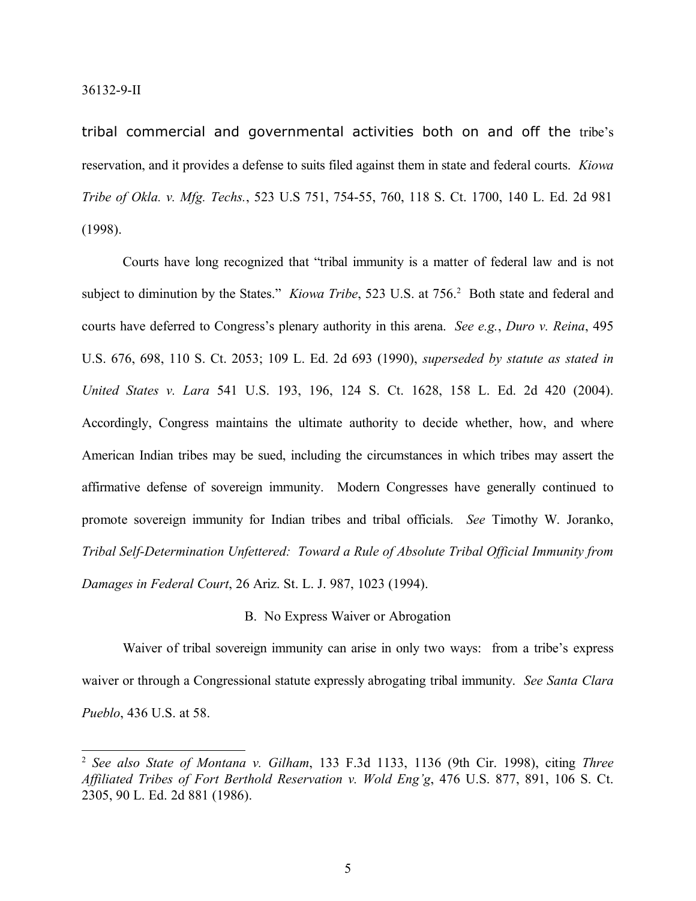tribal commercial and governmental activities both on and off the tribe's reservation, and it provides a defense to suits filed against them in state and federal courts. *Kiowa Tribe of Okla. v. Mfg. Techs.*, 523 U.S 751, 754-55, 760, 118 S. Ct. 1700, 140 L. Ed. 2d 981 (1998).

Courts have long recognized that "tribal immunity is a matter of federal law and is not subject to diminution by the States." *Kiowa Tribe*, 523 U.S. at 756.<sup>2</sup> Both state and federal and courts have deferred to Congress's plenary authority in this arena. *See e.g.*, *Duro v. Reina*, 495 U.S. 676, 698, 110 S. Ct. 2053; 109 L. Ed. 2d 693 (1990), *superseded by statute as stated in United States v. Lara* 541 U.S. 193, 196, 124 S. Ct. 1628, 158 L. Ed. 2d 420 (2004). Accordingly, Congress maintains the ultimate authority to decide whether, how, and where American Indian tribes may be sued, including the circumstances in which tribes may assert the affirmative defense of sovereign immunity. Modern Congresses have generally continued to promote sovereign immunity for Indian tribes and tribal officials. *See* Timothy W. Joranko, *Tribal Self-Determination Unfettered: Toward a Rule of Absolute Tribal Official Immunity from Damages in Federal Court*, 26 Ariz. St. L. J. 987, 1023 (1994).

## B. No Express Waiver or Abrogation

Waiver of tribal sovereign immunity can arise in only two ways: from a tribe's express waiver or through a Congressional statute expressly abrogating tribal immunity. *See Santa Clara Pueblo*, 436 U.S. at 58.

<sup>2</sup> *See also State of Montana v. Gilham*, 133 F.3d 1133, 1136 (9th Cir. 1998), citing *Three Affiliated Tribes of Fort Berthold Reservation v. Wold Eng'g*, 476 U.S. 877, 891, 106 S. Ct. 2305, 90 L. Ed. 2d 881 (1986).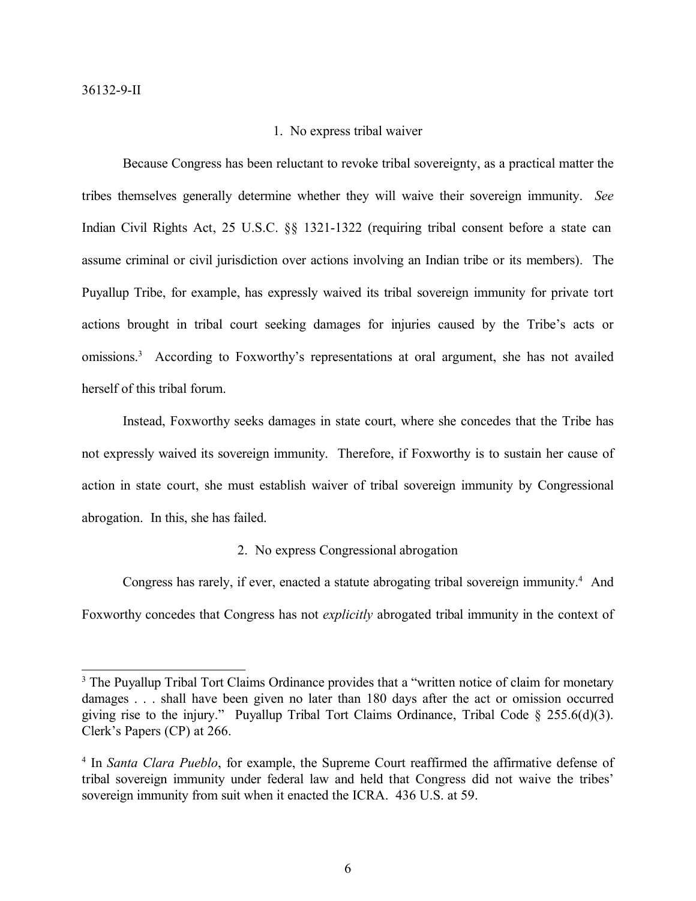#### 1. No express tribal waiver

Because Congress has been reluctant to revoke tribal sovereignty, as a practical matter the tribes themselves generally determine whether they will waive their sovereign immunity. *See*  Indian Civil Rights Act, 25 U.S.C. §§ 1321-1322 (requiring tribal consent before a state can assume criminal or civil jurisdiction over actions involving an Indian tribe or its members). The Puyallup Tribe, for example, has expressly waived its tribal sovereign immunity for private tort actions brought in tribal court seeking damages for injuries caused by the Tribe's acts or omissions.<sup>3</sup> According to Foxworthy's representations at oral argument, she has not availed herself of this tribal forum.

Instead, Foxworthy seeks damages in state court, where she concedes that the Tribe has not expressly waived its sovereign immunity. Therefore, if Foxworthy is to sustain her cause of action in state court, she must establish waiver of tribal sovereign immunity by Congressional abrogation. In this, she has failed.

# 2. No express Congressional abrogation

Congress has rarely, if ever, enacted a statute abrogating tribal sovereign immunity.<sup>4</sup> And Foxworthy concedes that Congress has not *explicitly* abrogated tribal immunity in the context of

<sup>&</sup>lt;sup>3</sup> The Puyallup Tribal Tort Claims Ordinance provides that a "written notice of claim for monetary damages . . . shall have been given no later than 180 days after the act or omission occurred giving rise to the injury." Puyallup Tribal Tort Claims Ordinance, Tribal Code § 255.6(d)(3). Clerk's Papers (CP) at 266.

<sup>4</sup> In *Santa Clara Pueblo*, for example, the Supreme Court reaffirmed the affirmative defense of tribal sovereign immunity under federal law and held that Congress did not waive the tribes' sovereign immunity from suit when it enacted the ICRA. 436 U.S. at 59.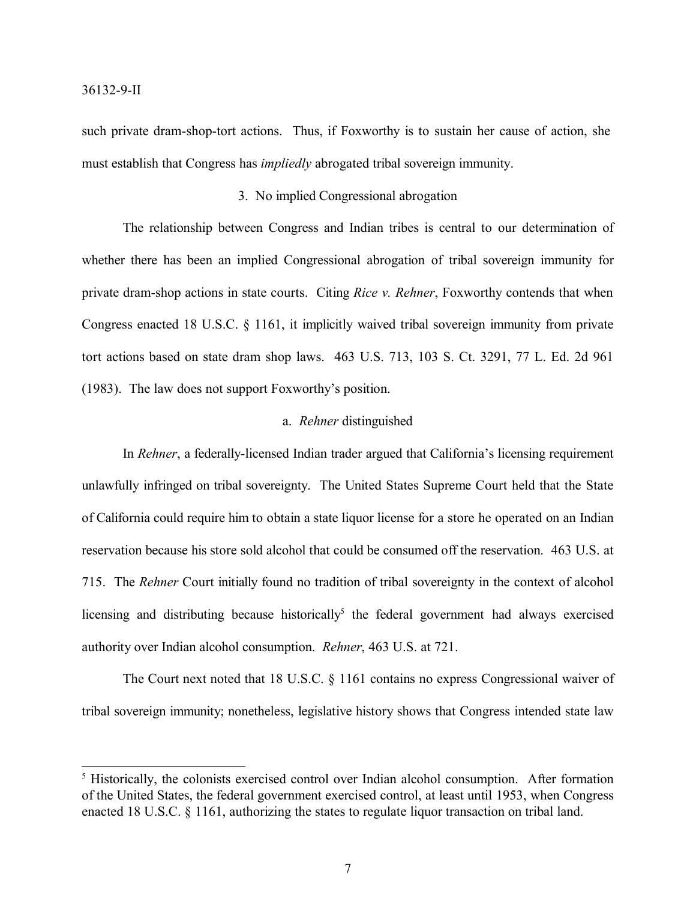such private dram-shop-tort actions. Thus, if Foxworthy is to sustain her cause of action, she must establish that Congress has *impliedly* abrogated tribal sovereign immunity.

## 3. No implied Congressional abrogation

The relationship between Congress and Indian tribes is central to our determination of whether there has been an implied Congressional abrogation of tribal sovereign immunity for private dram-shop actions in state courts. Citing *Rice v. Rehner*, Foxworthy contends that when Congress enacted 18 U.S.C. § 1161, it implicitly waived tribal sovereign immunity from private tort actions based on state dram shop laws. 463 U.S. 713, 103 S. Ct. 3291, 77 L. Ed. 2d 961 (1983). The law does not support Foxworthy's position.

### a. *Rehner* distinguished

In *Rehner*, a federally-licensed Indian trader argued that California's licensing requirement unlawfully infringed on tribal sovereignty. The United States Supreme Court held that the State of California could require him to obtain a state liquor license for a store he operated on an Indian reservation because his store sold alcohol that could be consumed off the reservation. 463 U.S. at 715. The *Rehner* Court initially found no tradition of tribal sovereignty in the context of alcohol licensing and distributing because historically<sup>5</sup> the federal government had always exercised authority over Indian alcohol consumption. *Rehner*, 463 U.S. at 721.

The Court next noted that 18 U.S.C. § 1161 contains no express Congressional waiver of tribal sovereign immunity; nonetheless, legislative history shows that Congress intended state law

<sup>&</sup>lt;sup>5</sup> Historically, the colonists exercised control over Indian alcohol consumption. After formation of the United States, the federal government exercised control, at least until 1953, when Congress enacted 18 U.S.C. § 1161, authorizing the states to regulate liquor transaction on tribal land.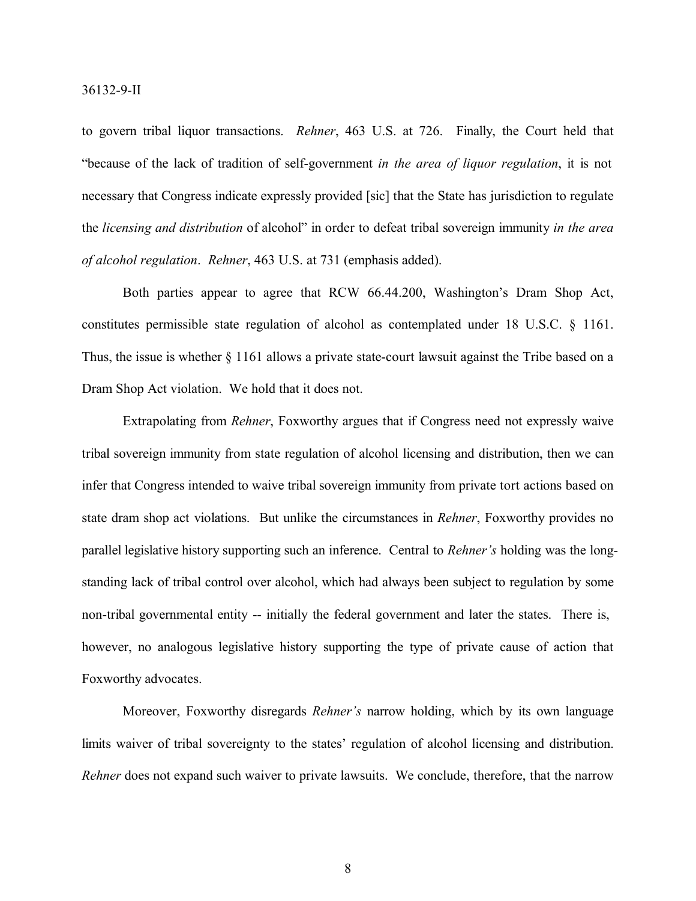to govern tribal liquor transactions. *Rehner*, 463 U.S. at 726. Finally, the Court held that "because of the lack of tradition of self-government *in the area of liquor regulation*, it is not necessary that Congress indicate expressly provided [sic] that the State has jurisdiction to regulate the *licensing and distribution* of alcohol" in order to defeat tribal sovereign immunity *in the area of alcohol regulation*. *Rehner*, 463 U.S. at 731 (emphasis added).

Both parties appear to agree that RCW 66.44.200, Washington's Dram Shop Act, constitutes permissible state regulation of alcohol as contemplated under 18 U.S.C. § 1161. Thus, the issue is whether § 1161 allows a private state-court lawsuit against the Tribe based on a Dram Shop Act violation. We hold that it does not.

Extrapolating from *Rehner*, Foxworthy argues that if Congress need not expressly waive tribal sovereign immunity from state regulation of alcohol licensing and distribution, then we can infer that Congress intended to waive tribal sovereign immunity from private tort actions based on state dram shop act violations. But unlike the circumstances in *Rehner*, Foxworthy provides no parallel legislative history supporting such an inference. Central to *Rehner's* holding was the longstanding lack of tribal control over alcohol, which had always been subject to regulation by some non-tribal governmental entity -- initially the federal government and later the states. There is, however, no analogous legislative history supporting the type of private cause of action that Foxworthy advocates.

Moreover, Foxworthy disregards *Rehner's* narrow holding, which by its own language limits waiver of tribal sovereignty to the states' regulation of alcohol licensing and distribution. *Rehner* does not expand such waiver to private lawsuits. We conclude, therefore, that the narrow

8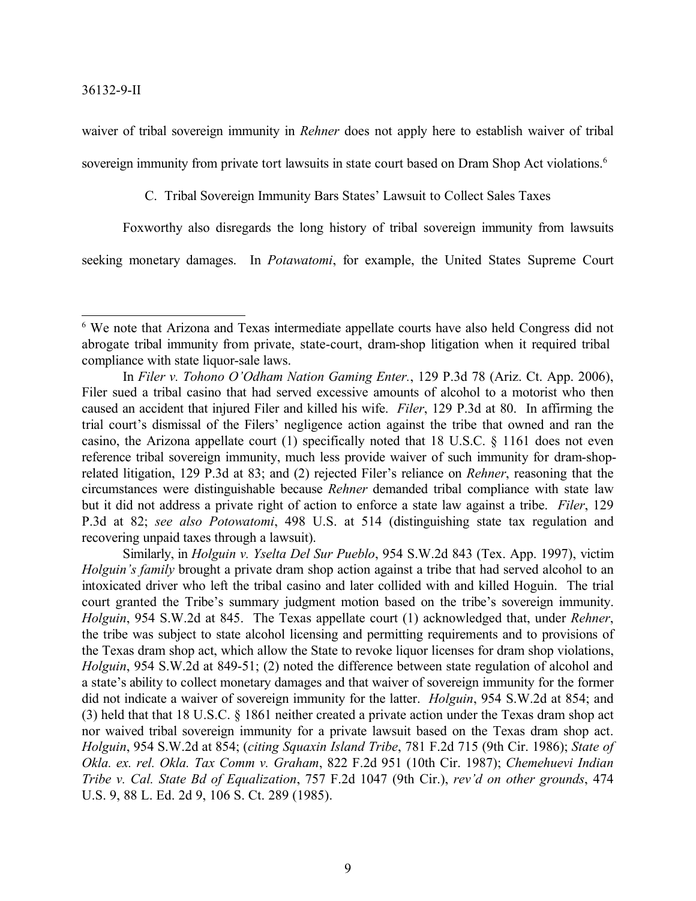waiver of tribal sovereign immunity in *Rehner* does not apply here to establish waiver of tribal sovereign immunity from private tort lawsuits in state court based on Dram Shop Act violations.<sup>6</sup>

C. Tribal Sovereign Immunity Bars States' Lawsuit to Collect Sales Taxes

Foxworthy also disregards the long history of tribal sovereign immunity from lawsuits

seeking monetary damages. In *Potawatomi*, for example, the United States Supreme Court

<sup>6</sup> We note that Arizona and Texas intermediate appellate courts have also held Congress did not abrogate tribal immunity from private, state-court, dram-shop litigation when it required tribal compliance with state liquor-sale laws.

In *Filer v. Tohono O'Odham Nation Gaming Enter.*, 129 P.3d 78 (Ariz. Ct. App. 2006), Filer sued a tribal casino that had served excessive amounts of alcohol to a motorist who then caused an accident that injured Filer and killed his wife. *Filer*, 129 P.3d at 80. In affirming the trial court's dismissal of the Filers' negligence action against the tribe that owned and ran the casino, the Arizona appellate court (1) specifically noted that 18 U.S.C. § 1161 does not even reference tribal sovereign immunity, much less provide waiver of such immunity for dram-shoprelated litigation, 129 P.3d at 83; and (2) rejected Filer's reliance on *Rehner*, reasoning that the circumstances were distinguishable because *Rehner* demanded tribal compliance with state law but it did not address a private right of action to enforce a state law against a tribe. *Filer*, 129 P.3d at 82; *see also Potowatomi*, 498 U.S. at 514 (distinguishing state tax regulation and recovering unpaid taxes through a lawsuit).

Similarly, in *Holguin v. Yselta Del Sur Pueblo*, 954 S.W.2d 843 (Tex. App. 1997), victim *Holguin's family* brought a private dram shop action against a tribe that had served alcohol to an intoxicated driver who left the tribal casino and later collided with and killed Hoguin. The trial court granted the Tribe's summary judgment motion based on the tribe's sovereign immunity. *Holguin*, 954 S.W.2d at 845. The Texas appellate court (1) acknowledged that, under *Rehner*, the tribe was subject to state alcohol licensing and permitting requirements and to provisions of the Texas dram shop act, which allow the State to revoke liquor licenses for dram shop violations, *Holguin*, 954 S.W.2d at 849-51; (2) noted the difference between state regulation of alcohol and a state's ability to collect monetary damages and that waiver of sovereign immunity for the former did not indicate a waiver of sovereign immunity for the latter. *Holguin*, 954 S.W.2d at 854; and (3) held that that 18 U.S.C. § 1861 neither created a private action under the Texas dram shop act nor waived tribal sovereign immunity for a private lawsuit based on the Texas dram shop act. *Holguin*, 954 S.W.2d at 854; (*citing Squaxin Island Tribe*, 781 F.2d 715 (9th Cir. 1986); *State of Okla. ex. rel. Okla. Tax Comm v. Graham*, 822 F.2d 951 (10th Cir. 1987); *Chemehuevi Indian Tribe v. Cal. State Bd of Equalization*, 757 F.2d 1047 (9th Cir.), *rev'd on other grounds*, 474 U.S. 9, 88 L. Ed. 2d 9, 106 S. Ct. 289 (1985).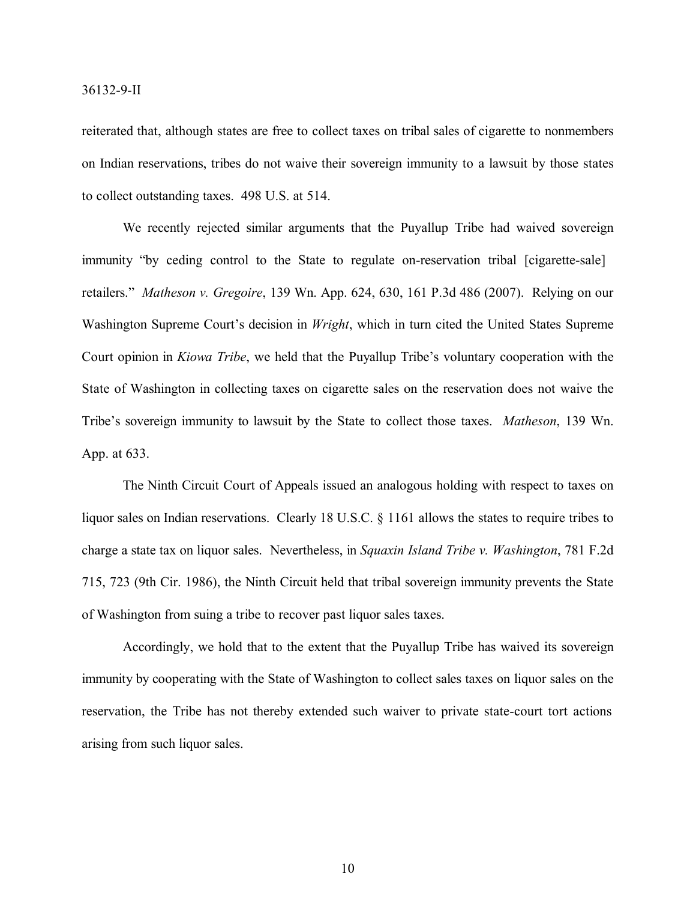#### 36132-9-II

reiterated that, although states are free to collect taxes on tribal sales of cigarette to nonmembers on Indian reservations, tribes do not waive their sovereign immunity to a lawsuit by those states to collect outstanding taxes. 498 U.S. at 514.

We recently rejected similar arguments that the Puyallup Tribe had waived sovereign immunity "by ceding control to the State to regulate on-reservation tribal [cigarette-sale] retailers." *Matheson v. Gregoire*, 139 Wn. App. 624, 630, 161 P.3d 486 (2007). Relying on our Washington Supreme Court's decision in *Wright*, which in turn cited the United States Supreme Court opinion in *Kiowa Tribe*, we held that the Puyallup Tribe's voluntary cooperation with the State of Washington in collecting taxes on cigarette sales on the reservation does not waive the Tribe's sovereign immunity to lawsuit by the State to collect those taxes. *Matheson*, 139 Wn. App. at 633.

The Ninth Circuit Court of Appeals issued an analogous holding with respect to taxes on liquor sales on Indian reservations. Clearly 18 U.S.C. § 1161 allows the states to require tribes to charge a state tax on liquor sales. Nevertheless, in *Squaxin Island Tribe v. Washington*, 781 F.2d 715, 723 (9th Cir. 1986), the Ninth Circuit held that tribal sovereign immunity prevents the State of Washington from suing a tribe to recover past liquor sales taxes.

Accordingly, we hold that to the extent that the Puyallup Tribe has waived its sovereign immunity by cooperating with the State of Washington to collect sales taxes on liquor sales on the reservation, the Tribe has not thereby extended such waiver to private state-court tort actions arising from such liquor sales.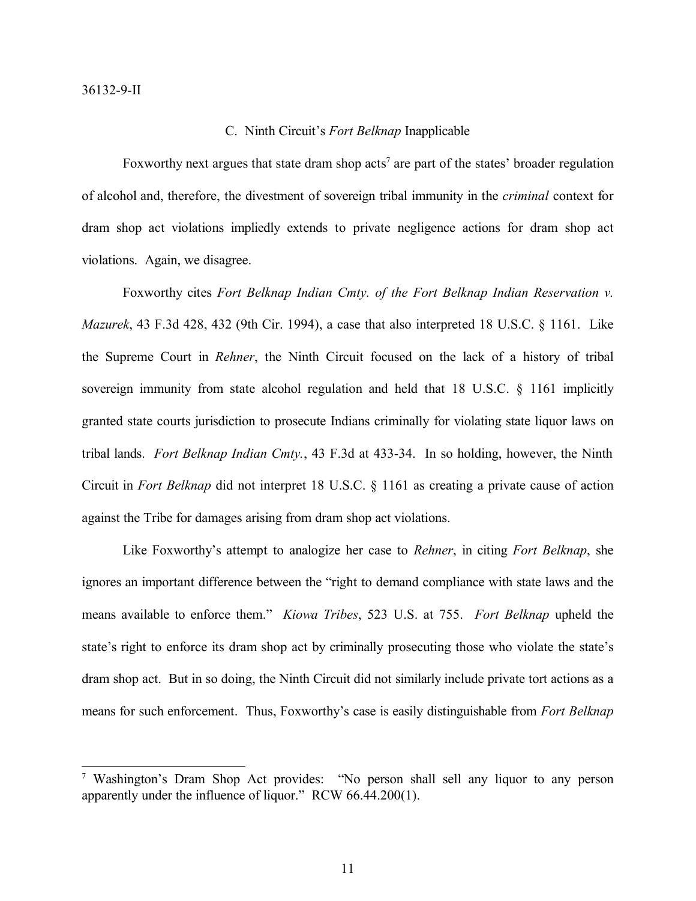#### C. Ninth Circuit's *Fort Belknap* Inapplicable

Foxworthy next argues that state dram shop acts<sup>7</sup> are part of the states' broader regulation of alcohol and, therefore, the divestment of sovereign tribal immunity in the *criminal* context for dram shop act violations impliedly extends to private negligence actions for dram shop act violations. Again, we disagree.

Foxworthy cites *Fort Belknap Indian Cmty. of the Fort Belknap Indian Reservation v. Mazurek*, 43 F.3d 428, 432 (9th Cir. 1994), a case that also interpreted 18 U.S.C. § 1161. Like the Supreme Court in *Rehner*, the Ninth Circuit focused on the lack of a history of tribal sovereign immunity from state alcohol regulation and held that 18 U.S.C. § 1161 implicitly granted state courts jurisdiction to prosecute Indians criminally for violating state liquor laws on tribal lands. *Fort Belknap Indian Cmty.*, 43 F.3d at 433-34. In so holding, however, the Ninth Circuit in *Fort Belknap* did not interpret 18 U.S.C. § 1161 as creating a private cause of action against the Tribe for damages arising from dram shop act violations.

Like Foxworthy's attempt to analogize her case to *Rehner*, in citing *Fort Belknap*, she ignores an important difference between the "right to demand compliance with state laws and the means available to enforce them." *Kiowa Tribes*, 523 U.S. at 755. *Fort Belknap* upheld the state's right to enforce its dram shop act by criminally prosecuting those who violate the state's dram shop act. But in so doing, the Ninth Circuit did not similarly include private tort actions as a means for such enforcement. Thus, Foxworthy's case is easily distinguishable from *Fort Belknap*

<sup>7</sup> Washington's Dram Shop Act provides: "No person shall sell any liquor to any person apparently under the influence of liquor." RCW 66.44.200(1).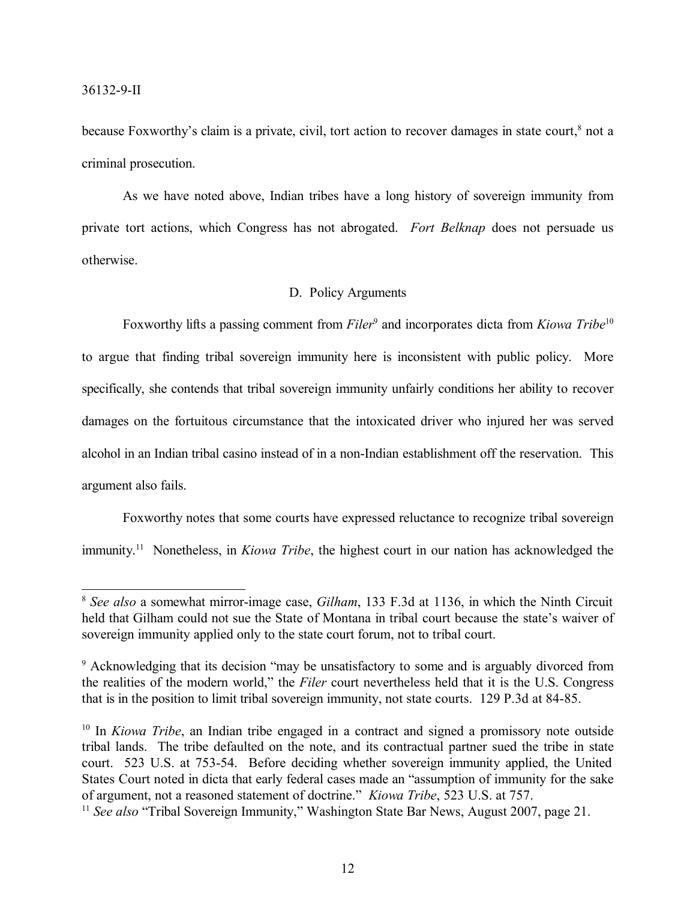because Foxworthy's claim is a private, civil, tort action to recover damages in state court,<sup>8</sup> not a criminal prosecution.

As we have noted above, Indian tribes have a long history of sovereign immunity from private tort actions, which Congress has not abrogated. *Fort Belknap* does not persuade us otherwise.

# D. Policy Arguments

Foxworthy lifts a passing comment from *Filer*<sup>9</sup> and incorporates dicta from *Kiowa Tribe*<sup>10</sup> to argue that finding tribal sovereign immunity here is inconsistent with public policy. More specifically, she contends that tribal sovereign immunity unfairly conditions her ability to recover damages on the fortuitous circumstance that the intoxicated driver who injured her was served alcohol in an Indian tribal casino instead of in a non-Indian establishment off the reservation. This argument also fails.

Foxworthy notes that some courts have expressed reluctance to recognize tribal sovereign immunity. <sup>11</sup> Nonetheless, in *Kiowa Tribe*, the highest court in our nation has acknowledged the

<sup>8</sup> *See also* a somewhat mirror-image case, *Gilham*, 133 F.3d at 1136, in which the Ninth Circuit held that Gilham could not sue the State of Montana in tribal court because the state's waiver of sovereign immunity applied only to the state court forum, not to tribal court.

<sup>9</sup> Acknowledging that its decision "may be unsatisfactory to some and is arguably divorced from the realities of the modern world," the *Filer* court nevertheless held that it is the U.S. Congress that is in the position to limit tribal sovereign immunity, not state courts. 129 P.3d at 84-85.

<sup>&</sup>lt;sup>10</sup> In *Kiowa Tribe*, an Indian tribe engaged in a contract and signed a promissory note outside tribal lands. The tribe defaulted on the note, and its contractual partner sued the tribe in state court. 523 U.S. at 753-54. Before deciding whether sovereign immunity applied, the United States Court noted in dicta that early federal cases made an "assumption of immunity for the sake of argument, not a reasoned statement of doctrine." *Kiowa Tribe*, 523 U.S. at 757.

<sup>&</sup>lt;sup>11</sup> See also "Tribal Sovereign Immunity," Washington State Bar News, August 2007, page 21.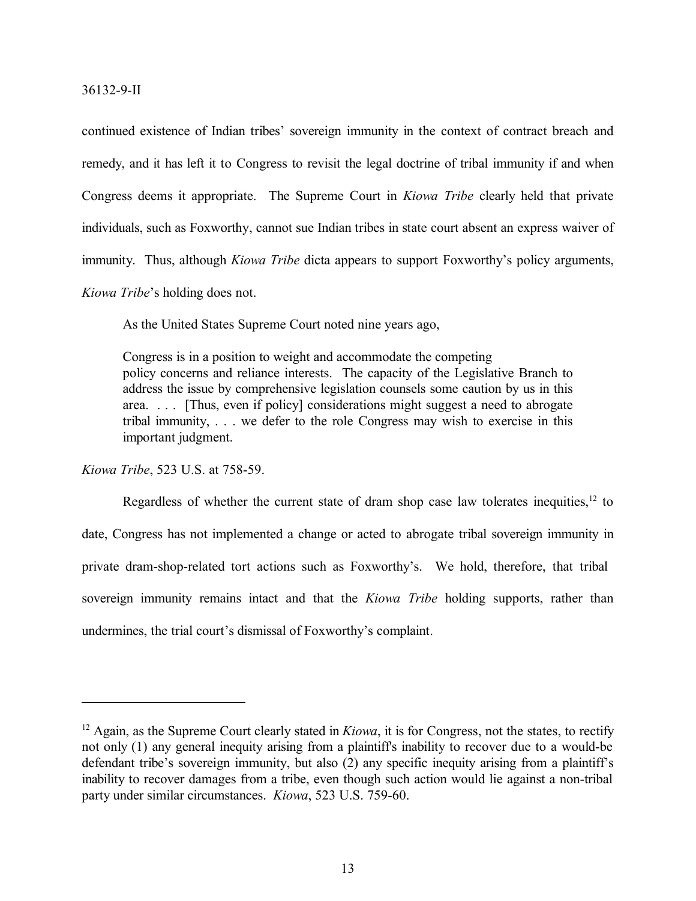continued existence of Indian tribes' sovereign immunity in the context of contract breach and remedy, and it has left it to Congress to revisit the legal doctrine of tribal immunity if and when Congress deems it appropriate. The Supreme Court in *Kiowa Tribe* clearly held that private individuals, such as Foxworthy, cannot sue Indian tribes in state court absent an express waiver of immunity. Thus, although *Kiowa Tribe* dicta appears to support Foxworthy's policy arguments, *Kiowa Tribe*'s holding does not.

As the United States Supreme Court noted nine years ago,

Congress is in a position to weight and accommodate the competing policy concerns and reliance interests. The capacity of the Legislative Branch to address the issue by comprehensive legislation counsels some caution by us in this area. . . . [Thus, even if policy] considerations might suggest a need to abrogate tribal immunity, . . . we defer to the role Congress may wish to exercise in this important judgment.

*Kiowa Tribe*, 523 U.S. at 758-59.

Regardless of whether the current state of dram shop case law tolerates inequities,  $12$  to date, Congress has not implemented a change or acted to abrogate tribal sovereign immunity in private dram-shop-related tort actions such as Foxworthy's. We hold, therefore, that tribal sovereign immunity remains intact and that the *Kiowa Tribe* holding supports, rather than undermines, the trial court's dismissal of Foxworthy's complaint.

<sup>&</sup>lt;sup>12</sup> Again, as the Supreme Court clearly stated in *Kiowa*, it is for Congress, not the states, to rectify not only (1) any general inequity arising from a plaintiff's inability to recover due to a would-be defendant tribe's sovereign immunity, but also (2) any specific inequity arising from a plaintiff's inability to recover damages from a tribe, even though such action would lie against a non-tribal party under similar circumstances. *Kiowa*, 523 U.S. 759-60.